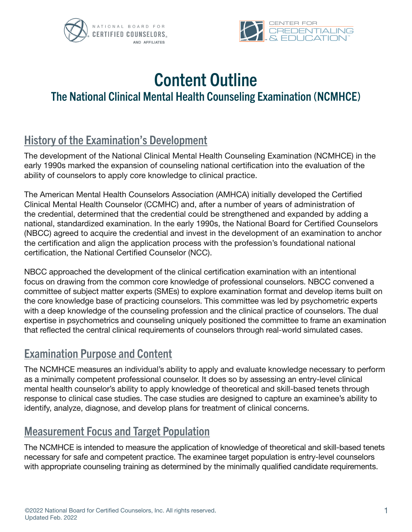



# Content Outline The National Clinical Mental Health Counseling Examination (NCMHCE)

# History of the Examination's Development

The development of the National Clinical Mental Health Counseling Examination (NCMHCE) in the early 1990s marked the expansion of counseling national certification into the evaluation of the ability of counselors to apply core knowledge to clinical practice.

The American Mental Health Counselors Association (AMHCA) initially developed the Certified Clinical Mental Health Counselor (CCMHC) and, after a number of years of administration of the credential, determined that the credential could be strengthened and expanded by adding a national, standardized examination. In the early 1990s, the National Board for Certified Counselors (NBCC) agreed to acquire the credential and invest in the development of an examination to anchor the certification and align the application process with the profession's foundational national certification, the National Certified Counselor (NCC).

NBCC approached the development of the clinical certification examination with an intentional focus on drawing from the common core knowledge of professional counselors. NBCC convened a committee of subject matter experts (SMEs) to explore examination format and develop items built on the core knowledge base of practicing counselors. This committee was led by psychometric experts with a deep knowledge of the counseling profession and the clinical practice of counselors. The dual expertise in psychometrics and counseling uniquely positioned the committee to frame an examination that reflected the central clinical requirements of counselors through real-world simulated cases.

### Examination Purpose and Content

The NCMHCE measures an individual's ability to apply and evaluate knowledge necessary to perform as a minimally competent professional counselor. It does so by assessing an entry-level clinical mental health counselor's ability to apply knowledge of theoretical and skill-based tenets through response to clinical case studies. The case studies are designed to capture an examinee's ability to identify, analyze, diagnose, and develop plans for treatment of clinical concerns.

### Measurement Focus and Target Population

The NCMHCE is intended to measure the application of knowledge of theoretical and skill-based tenets necessary for safe and competent practice. The examinee target population is entry-level counselors with appropriate counseling training as determined by the minimally qualified candidate requirements.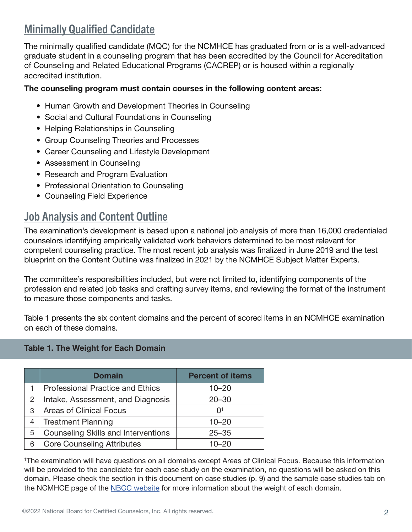# Minimally Qualified Candidate

The minimally qualified candidate (MQC) for the NCMHCE has graduated from or is a well-advanced graduate student in a counseling program that has been accredited by the Council for Accreditation of Counseling and Related Educational Programs (CACREP) or is housed within a regionally accredited institution.

#### The counseling program must contain courses in the following content areas:

- Human Growth and Development Theories in Counseling
- Social and Cultural Foundations in Counseling
- Helping Relationships in Counseling
- Group Counseling Theories and Processes
- Career Counseling and Lifestyle Development
- Assessment in Counseling
- Research and Program Evaluation
- Professional Orientation to Counseling
- Counseling Field Experience

### **Job Analysis and Content Outline**

The examination's development is based upon a national job analysis of more than 16,000 credentialed counselors identifying empirically validated work behaviors determined to be most relevant for competent counseling practice. The most recent job analysis was finalized in June 2019 and the test blueprint on the Content Outline was finalized in 2021 by the NCMHCE Subject Matter Experts.

The committee's responsibilities included, but were not limited to, identifying components of the profession and related job tasks and crafting survey items, and reviewing the format of the instrument to measure those components and tasks.

Table 1 presents the six content domains and the percent of scored items in an NCMHCE examination on each of these domains.

#### Table 1. The Weight for Each Domain

|   | <b>Domain</b>                              | <b>Percent of items</b> |
|---|--------------------------------------------|-------------------------|
|   | <b>Professional Practice and Ethics</b>    | $10 - 20$               |
| 2 | Intake, Assessment, and Diagnosis          | $20 - 30$               |
| 3 | <b>Areas of Clinical Focus</b>             | $\Omega$ <sup>1</sup>   |
| 4 | <b>Treatment Planning</b>                  | $10 - 20$               |
| 5 | <b>Counseling Skills and Interventions</b> | $25 - 35$               |
| 6 | <b>Core Counseling Attributes</b>          | 10–20                   |

1 The examination will have questions on all domains except Areas of Clinical Focus. Because this information will be provided to the candidate for each case study on the examination, no questions will be asked on this domain. Please check the section in this document on case studies (p. 9) and the sample case studies tab on the NCMHCE page of the [NBCC website](https://www.nbcc.org/exams/ncmhce) for more information about the weight of each domain.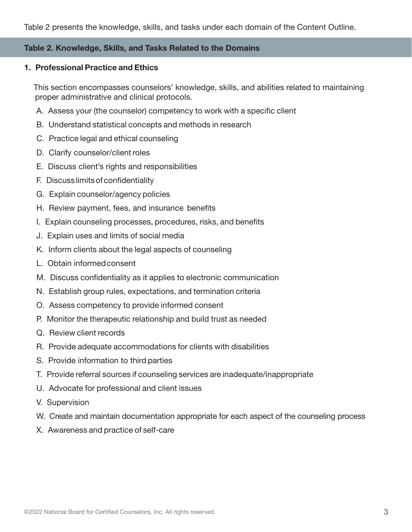#### Table 2. Knowledge, Skills, and Tasks Related to the Domains

#### 1. Professional Practice and Ethics

 This section encompasses counselors' knowledge, skills, and abilities related to maintaining proper administrative and clinical protocols.

- A. Assess your (the counselor) competency to work with a specific client
- B. Understand statistical concepts and methods in research
- C. Practice legal and ethical counseling
- D. Clarify counselor/client roles
- E. Discuss client's rights and responsibilities
- F. Discuss limits of confidentiality
- G. Explain counselor/agency policies
- H. Review payment, fees, and insurance benefits
- I. Explain counseling processes, procedures, risks, and benefits
- J. Explain uses and limits of social media
- K. Inform clients about the legal aspects of counseling
- L. Obtain informed consent
- M. Discuss confidentiality as it applies to electronic communication
- N. Establish group rules, expectations, and termination criteria
- O. Assess competency to provide informed consent
- P. Monitor the therapeutic relationship and build trust as needed
- Q. Review client records
- R. Provide adequate accommodations for clients with disabilities
- S. Provide information to third parties
- T. Provide referral sources if counseling services are inadequate/inappropriate
- U. Advocate for professional and client issues
- V. Supervision
- W. Create and maintain documentation appropriate for each aspect of the counseling process
- X. Awareness and practice of self-care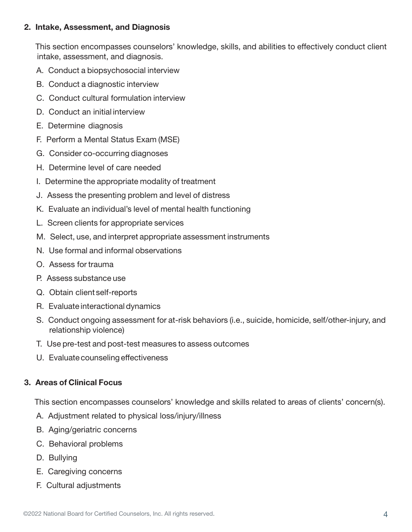#### 2. Intake, Assessment, and Diagnosis

 This section encompasses counselors' knowledge, skills, and abilities to effectively conduct client intake, assessment, and diagnosis.

- A. Conduct a biopsychosocial interview
- B. Conduct a diagnostic interview
- C. Conduct cultural formulation interview
- D. Conduct an initial interview
- E. Determine diagnosis
- F. Perform a Mental Status Exam (MSE)
- G. Consider co-occurring diagnoses
- H. Determine level of care needed
- I. Determine the appropriate modality of treatment
- J. Assess the presenting problem and level of distress
- K. Evaluate an individual's level of mental health functioning
- L. Screen clients for appropriate services
- M. Select, use, and interpret appropriate assessment instruments
- N. Use formal and informal observations
- O. Assess for trauma
- P. Assess substance use
- Q. Obtain client self-reports
- R. Evaluate interactional dynamics
- S. Conduct ongoing assessment for at-risk behaviors (i.e., suicide, homicide, self/other-injury, and relationship violence)
- T. Use pre-test and post-test measures to assess outcomes
- U. Evaluate counseling effectiveness

#### 3. Areas of Clinical Focus

This section encompasses counselors' knowledge and skills related to areas of clients' concern(s).

- A. Adjustment related to physical loss/injury/illness
- B. Aging/geriatric concerns
- C. Behavioral problems
- D. Bullying
- E. Caregiving concerns
- F. Cultural adjustments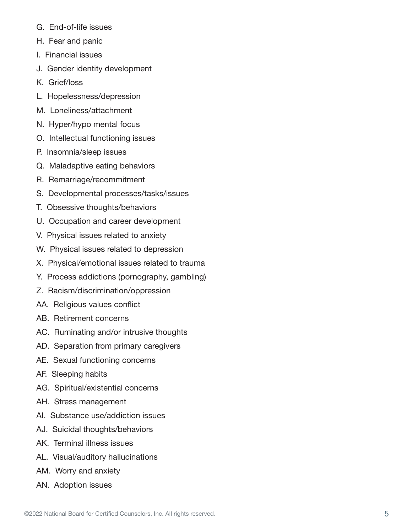- G. End-of-life issues
- H. Fear and panic
- I. Financial issues
- J. Gender identity development
- K. Grief/loss
- L. Hopelessness/depression
- M. Loneliness/attachment
- N. Hyper/hypo mental focus
- O. Intellectual functioning issues
- P. Insomnia/sleep issues
- Q. Maladaptive eating behaviors
- R. Remarriage/recommitment
- S. Developmental processes/tasks/issues
- T. Obsessive thoughts/behaviors
- U. Occupation and career development
- V. Physical issues related to anxiety
- W. Physical issues related to depression
- X. Physical/emotional issues related to trauma
- Y. Process addictions (pornography, gambling)
- Z. Racism/discrimination/oppression
- AA. Religious values conflict
- AB. Retirement concerns
- AC. Ruminating and/or intrusive thoughts
- AD. Separation from primary caregivers
- AE. Sexual functioning concerns
- AF. Sleeping habits
- AG. Spiritual/existential concerns
- AH. Stress management
- AI. Substance use/addiction issues
- AJ. Suicidal thoughts/behaviors
- AK. Terminal illness issues
- AL. Visual/auditory hallucinations
- AM. Worry and anxiety
- AN. Adoption issues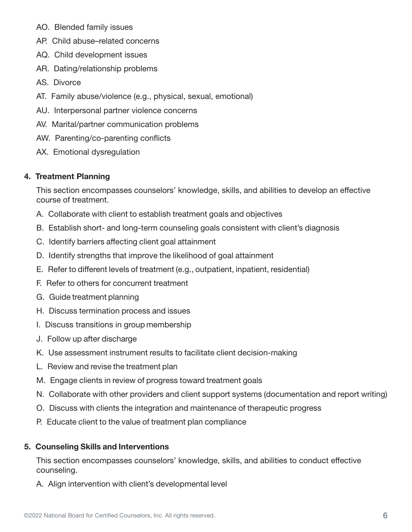- AO. Blended family issues
- AP. Child abuse–related concerns
- AQ. Child development issues
- AR. Dating/relationship problems
- AS. Divorce
- AT. Family abuse/violence (e.g., physical, sexual, emotional)
- AU. Interpersonal partner violence concerns
- AV. Marital/partner communication problems
- AW. Parenting/co-parenting conflicts
- AX. Emotional dysregulation

#### 4. Treatment Planning

This section encompasses counselors' knowledge, skills, and abilities to develop an effective course of treatment.

- A. Collaborate with client to establish treatment goals and objectives
- B. Establish short- and long-term counseling goals consistent with client's diagnosis
- C. Identify barriers affecting client goal attainment
- D. Identify strengths that improve the likelihood of goal attainment
- E. Refer to different levels of treatment (e.g., outpatient, inpatient, residential)
- F. Refer to others for concurrent treatment
- G. Guide treatment planning
- H. Discuss termination process and issues
- I. Discuss transitions in group membership
- J. Follow up after discharge
- K. Use assessment instrument results to facilitate client decision-making
- L. Review and revise the treatment plan
- M. Engage clients in review of progress toward treatment goals
- N. Collaborate with other providers and client support systems (documentation and report writing)
- O. Discuss with clients the integration and maintenance of therapeutic progress
- P. Educate client to the value of treatment plan compliance

#### 5. Counseling Skills and Interventions

This section encompasses counselors' knowledge, skills, and abilities to conduct effective counseling.

A. Align intervention with client's developmental level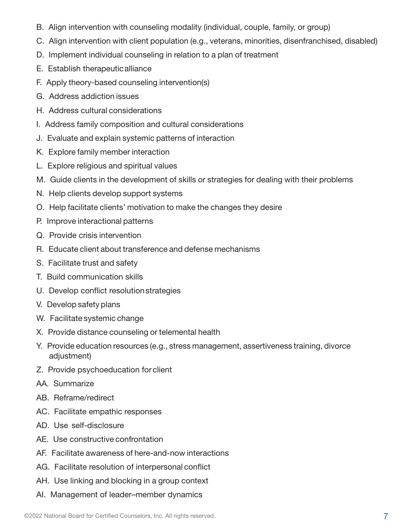- B. Align intervention with counseling modality (individual, couple, family, or group)
- C. Align intervention with client population (e.g., veterans, minorities, disenfranchised, disabled)
- D. Implement individual counseling in relation to a plan of treatment
- E. Establish therapeutic alliance
- F. Apply theory-based counseling intervention(s)
- G. Address addiction issues
- H. Address cultural considerations
- I. Address family composition and cultural considerations
- J. Evaluate and explain systemic patterns of interaction
- K. Explore family member interaction
- L. Explore religious and spiritual values
- M. Guide clients in the development of skills or strategies for dealing with their problems
- N. Help clients develop support systems
- O. Help facilitate clients' motivation to make the changes they desire
- P. Improve interactional patterns
- Q. Provide crisis intervention
- R. Educate client about transference and defense mechanisms
- S. Facilitate trust and safety
- T. Build communication skills
- U. Develop conflict resolution strategies
- V. Develop safety plans
- W. Facilitate systemic change
- X. Provide distance counseling or telemental health
- Y. Provide education resources (e.g., stress management, assertiveness training, divorce adjustment)
- Z. Provide psychoeducation for client
- AA. Summarize
- AB. Reframe/redirect
- AC. Facilitate empathic responses
- AD. Use self-disclosure
- AE. Use constructive confrontation
- AF. Facilitate awareness of here-and-now interactions
- AG. Facilitate resolution of interpersonal conflict
- AH. Use linking and blocking in a group context
- AI. Management of leader–member dynamics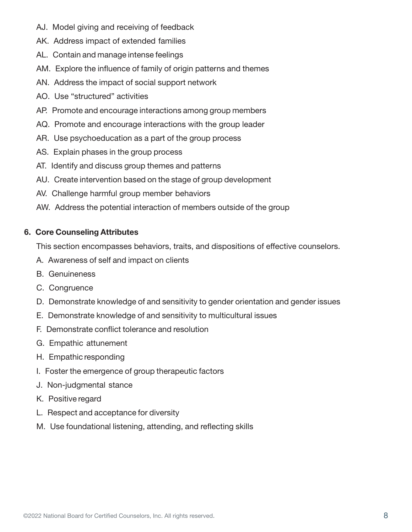- AJ. Model giving and receiving of feedback
- AK. Address impact of extended families
- AL. Contain and manage intense feelings
- AM. Explore the influence of family of origin patterns and themes
- AN. Address the impact of social support network
- AO. Use "structured" activities
- AP. Promote and encourage interactions among group members
- AQ. Promote and encourage interactions with the group leader
- AR. Use psychoeducation as a part of the group process
- AS. Explain phases in the group process
- AT. Identify and discuss group themes and patterns
- AU. Create intervention based on the stage of group development
- AV. Challenge harmful group member behaviors
- AW. Address the potential interaction of members outside of the group

#### 6. Core Counseling Attributes

This section encompasses behaviors, traits, and dispositions of effective counselors.

- A. Awareness of self and impact on clients
- B. Genuineness
- C. Congruence
- D. Demonstrate knowledge of and sensitivity to gender orientation and gender issues
- E. Demonstrate knowledge of and sensitivity to multicultural issues
- F. Demonstrate conflict tolerance and resolution
- G. Empathic attunement
- H. Empathic responding
- I. Foster the emergence of group therapeutic factors
- J. Non-judgmental stance
- K. Positive regard
- L. Respect and acceptance for diversity
- M. Use foundational listening, attending, and reflecting skills